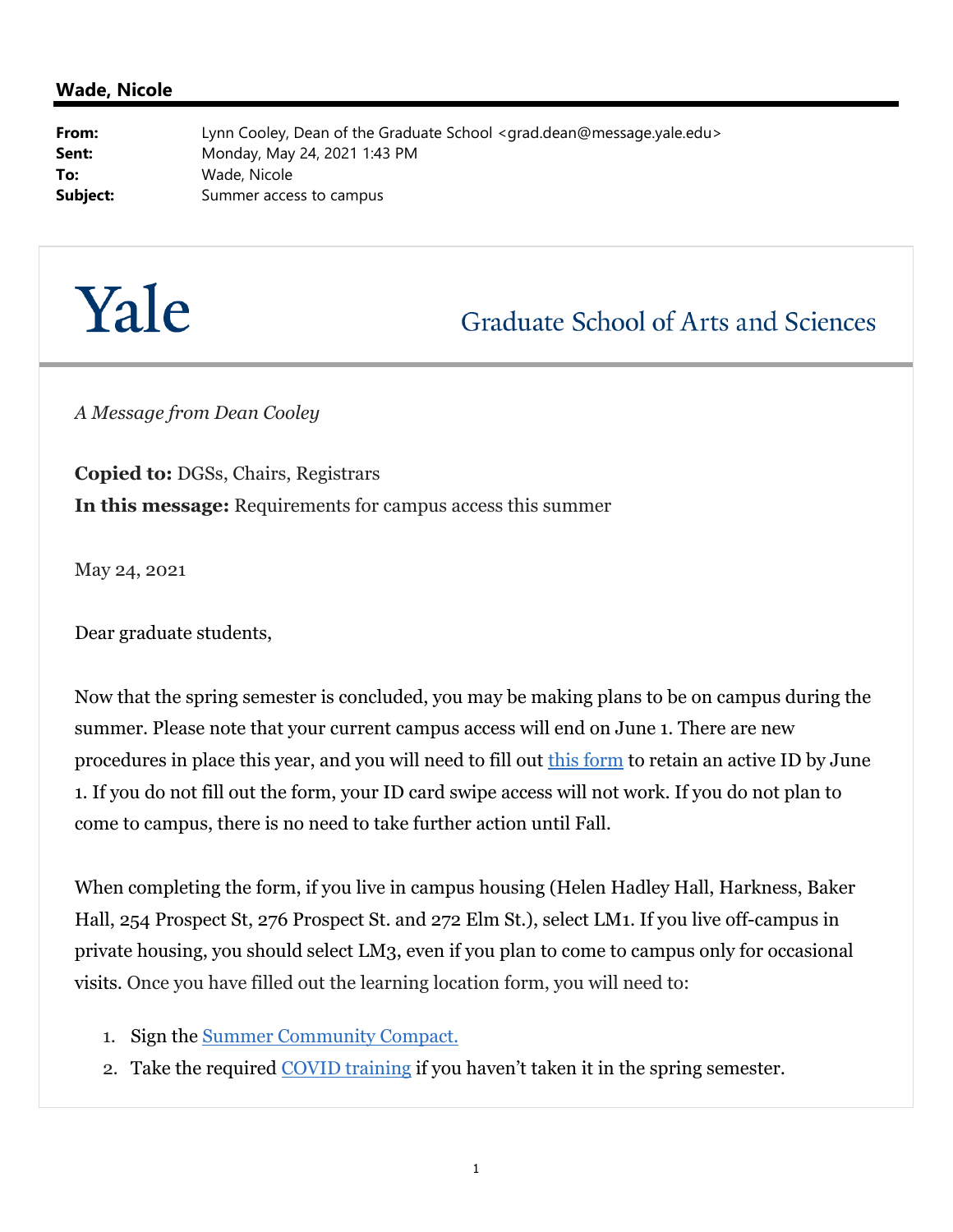## **Wade, Nicole**

**From:** Lynn Cooley, Dean of the Graduate School <grad.dean@message.yale.edu> **Sent:** Monday, May 24, 2021 1:43 PM **To:** Wade, Nicole **Subject:** Summer access to campus

## Yale

**Graduate School of Arts and Sciences** 

*A Message from Dean Cooley*

**Copied to:** DGSs, Chairs, Registrars **In this message:** Requirements for campus access this summer

May 24, 2021

Dear graduate students,

Now that the spring semester is concluded, you may be making plans to be on campus during the summer. Please note that your current campus access will end on June 1. There are new procedures in place this year, and you will need to fill out this form to retain an active ID by June 1. If you do not fill out the form, your ID card swipe access will not work. If you do not plan to come to campus, there is no need to take further action until Fall.

When completing the form, if you live in campus housing (Helen Hadley Hall, Harkness, Baker Hall, 254 Prospect St, 276 Prospect St. and 272 Elm St.), select LM1. If you live off-campus in private housing, you should select LM3, even if you plan to come to campus only for occasional visits. Once you have filled out the learning location form, you will need to:

- 1. Sign the Summer Community Compact.
- 2. Take the required COVID training if you haven't taken it in the spring semester.